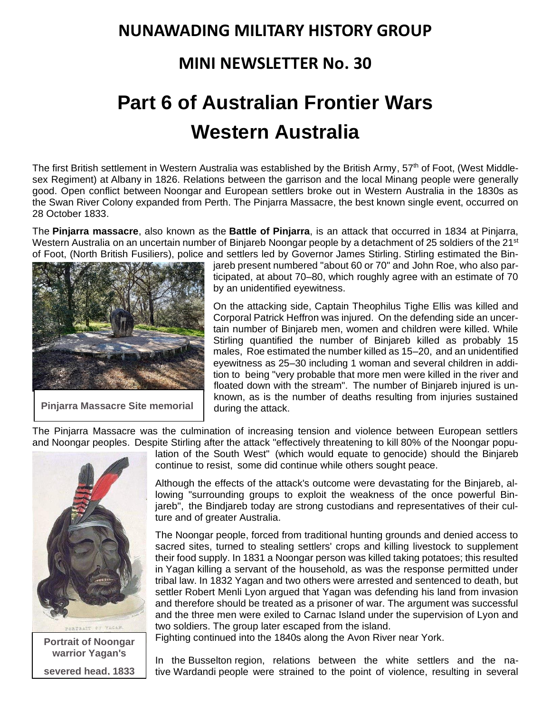## **NUNAWADING MILITARY HISTORY GROUP**

## **MINI NEWSLETTER No. 30**

## **Part 6 of Australian Frontier Wars Western Australia**

The first British settlement in Western Australia was established by the British Army, 57<sup>th</sup> of Foot, (West Middlesex Regiment) at [Albany](https://www.wikiwand.com/en/Albany,_Western_Australia) in 1826. Relations between the garrison and the local [Minang](https://www.wikiwand.com/en/Minang_people) people were generally good. Open conflict between [Noongar](https://www.wikiwand.com/en/Noongar) and European settlers broke out in Western Australia in the 1830s as the Swan River [Colony](https://www.wikiwand.com/en/Swan_River_Colony) expanded from [Perth.](https://www.wikiwand.com/en/Perth) The Pinjarra [Massacre,](https://www.wikiwand.com/en/Pinjarra_Massacre) the best known single event, occurred on 28 October 1833.

The **Pinjarra massacre**, also known as the **Battle of Pinjarra**, is an attack that occurred in 1834 at [Pinjarra,](https://www.wikiwand.com/en/Pinjarra,_Western_Australia) Western [Australia](https://www.wikiwand.com/en/Pinjarra,_Western_Australia) on an uncertain number of [Binjareb](https://www.wikiwand.com/en/Binjareb) Noongar people by a detachment of 25 soldiers of the 21<sup>st</sup> of Foot, (North British Fusiliers), police and settlers led by Governor James [Stirling.](https://www.wikiwand.com/en/James_Stirling_(Australian_governor)) Stirling estimated the Bin-



**Pinjarra Massacre Site memorial**

jareb present numbered "about 60 or 70" and [John](https://www.wikiwand.com/en/John_Septimus_Roe) Roe, who also participated, at about 70–80, which roughly agree with an estimate of 70 by an unidentified eyewitness.

On the attacking side, Captain Theophilus Tighe Ellis was killed and Corporal Patrick Heffron was injured. On the defending side an uncertain number of Binjareb men, women and children were killed. While Stirling quantified the number of Binjareb killed as probably 15 males, Roe estimated the number killed as 15–20, and an unidentified eyewitness as 25–30 including 1 woman and several children in addition to being "very probable that more men were killed in the river and floated down with the stream". The number of Binjareb injured is unknown, as is the number of deaths resulting from injuries sustained during the attack.

The Pinjarra Massacre was the culmination of increasing tension and violence between European settlers and [Noongar](https://www.wikiwand.com/en/Noongar) peoples. Despite Stirling after the attack "effectively threatening to kill 80% of the Noongar popu-



**Portrait of Noongar warrior Yagan's severed head, 1833**

lation of the South West" (which would equate to [genocide\)](https://www.wikiwand.com/en/Genocide) should the Binjareb continue to resist, some did continue while others sought peace.

Although the effects of the attack's outcome were devastating for the Binjareb, allowing "surrounding groups to exploit the weakness of the once powerful Binjareb", the Bindjareb today are strong custodians and representatives of their culture and of greater Australia.

The Noongar people, forced from traditional hunting grounds and denied access to sacred sites, turned to stealing settlers' crops and killing livestock to supplement their food supply. In 1831 a Noongar person was killed taking potatoes; this resulted in [Yagan](https://www.wikiwand.com/en/Yagan) killing a servant of the household, as was the response permitted under tribal law. In 1832 Yagan and two others were arrested and sentenced to death, but settler [Robert](https://www.wikiwand.com/en/Robert_Menli_Lyon) Menli Lyon argued that Yagan was defending his land from invasion and therefore should be treated as a prisoner of war. The argument was successful and the three men were exiled to [Carnac](https://www.wikiwand.com/en/Carnac_Island) Island under the supervision of Lyon and two soldiers. The group later escaped from the island.

Fighting continued into the 1840s along the Avon [River](https://www.wikiwand.com/en/Avon_River_(Western_Australia)) near [York.](https://www.wikiwand.com/en/York,_Western_Australia)

In the [Busselton](https://www.wikiwand.com/en/Busselton) region, relations between the white settlers and the native [Wardandi](https://www.wikiwand.com/en/Wardandi) people were strained to the point of violence, resulting in several